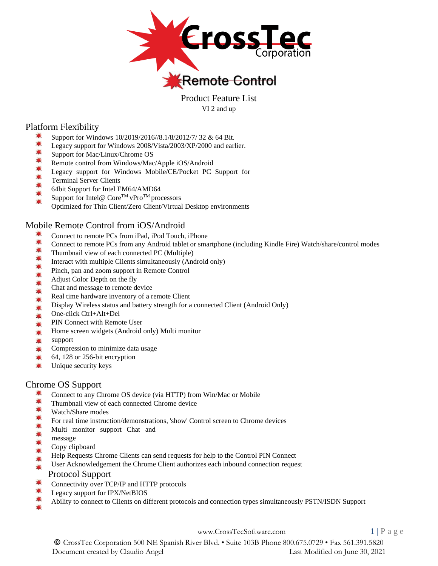

Product Feature List VI 2 and up

# Platform Flexibility

- Support for Windows 10/2019/2016//8.1/8/2012/7/ 32 & 64 Bit.
- $\blacksquare$ Legacy support for Windows 2008/Vista/2003/XP/2000 and earlier.
- 黨 Support for Mac/Linux/Chrome OS
- $\frac{1}{2}$ Remote control from Windows/Mac/Apple iOS/Android
- ₩ Legacy support for Windows Mobile/CE/Pocket PC Support for
- Terminal Server Clients
- 64bit Support for Intel EM64/AMD64 黨
- Support for Intel@  $\text{Core}^{\text{TM}}$  vPro<sup>TM</sup> processors 黨
- Optimized for Thin Client/Zero Client/Virtual Desktop environments

# Mobile Remote Control from iOS/Android

- Connect to remote PCs from iPad, iPod Touch, iPhone
- 糞 Connect to remote PCs from any Android tablet or smartphone (including Kindle Fire) Watch/share/control modes
- $\blacksquare$ Thumbnail view of each connected PC (Multiple)  $\frac{1}{\sqrt{2}}$
- Interact with multiple Clients simultaneously (Android only) ₩
- Pinch, pan and zoom support in Remote Control ₩
- Adjust Color Depth on the fly ₩
- Chat and message to remote device  $\blacksquare$
- Real time hardware inventory of a remote Client
- 東東 Display Wireless status and battery strength for a connected Client (Android Only)
- One-click Ctrl+Alt+Del 兼
- PIN Connect with Remote User  $\blacksquare$
- Home screen widgets (Android only) Multi monitor 兼
- $\frac{1}{2}$ support
- $\blacksquare$ Compression to minimize data usage
- $\blacksquare$ 64, 128 or 256-bit encryption
- $\frac{1}{2}$ Unique security keys

# Chrome OS Support

- 事 Connect to any Chrome OS device (via HTTP) from Win/Mac or Mobile
- 黨 Thumbnail view of each connected Chrome device  $\frac{1}{\sqrt{2}}$
- Watch/Share modes
- $\frac{1}{2}$ For real time instruction/demonstrations, 'show' Control screen to Chrome devices
- $\frac{1}{2}$ Multi monitor support Chat and
- message ₩
- Copy clipboard ₩
- Help Requests Chrome Clients can send requests for help to the Control PIN Connect
- User Acknowledgement the Chrome Client authorizes each inbound connection request

# Protocol Support

- Connectivity over TCP/IP and HTTP protocols
- Legacy support for IPX/NetBIOS
- Ability to connect to Clients on different protocols and connection types simultaneously PSTN/ISDN Support

[www.CrossTecSoftware.com](http://www.crosstecsoftware.com/) 1 | P a g e

© CrossTec Corporation 500 NE Spanish River Blvd. • Suite 103B Phone 800.675.0729 • Fax 561.391.5820 Document created by Claudio Angel Last Modified on June 30, 2021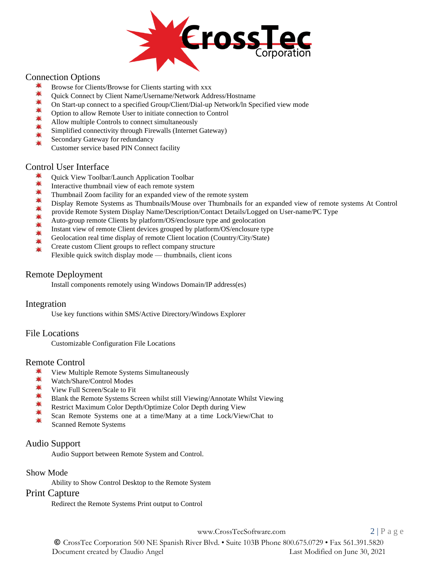

# Connection Options

- 单 Browse for Clients/Browse for Clients starting with xxx
- 業 Quick Connect by Client Name/Username/Network Address/Hostname
- On Start-up connect to a specified Group/Client/Dial-up Network/ln Specified view mode
- \*\*\*\* Option to allow Remote User to initiate connection to Control
- Allow multiple Controls to connect simultaneously
- Simplified connectivity through Firewalls (Internet Gateway)
- Secondary Gateway for redundancy
	- Customer service based PIN Connect facility

#### Control User Interface

- Quick View Toolbar/Launch Application Toolbar
- $\frac{1}{\sqrt{2}}$ Interactive thumbnail view of each remote system
- $\frac{1}{2}$ Thumbnail Zoom facility for an expanded view of the remote system
- Display Remote Systems as Thumbnails/Mouse over Thumbnails for an expanded view of remote systems At Control
- provide Remote System Display Name/Description/Contact Details/Logged on User-name/PC Type
- Auto-group remote Clients by platform/OS/enclosure type and geolocation
- 兼 兼 兼 兼 兼 Instant view of remote Client devices grouped by platform/OS/enclosure type
- Geolocation real time display of remote Client location (Country/City/State)
- Create custom Client groups to reflect company structure
- Flexible quick switch display mode thumbnails, client icons

# Remote Deployment

Install components remotely using Windows Domain/IP address(es)

# Integration

Use key functions within SMS/Active Directory/Windows Explorer

# File Locations

Customizable Configuration File Locations

# Remote Control

- 半 View Multiple Remote Systems Simultaneously
- 黨 Watch/Share/Control Modes
- $\frac{1}{2}$ View Full Screen/Scale to Fit
- 黨 Blank the Remote Systems Screen whilst still Viewing/Annotate Whilst Viewing
- Restrict Maximum Color Depth/Optimize Color Depth during View
- Scan Remote Systems one at a time/Many at a time Lock/View/Chat to
- Scanned Remote Systems

# Audio Support

Audio Support between Remote System and Control.

#### Show Mode

Ability to Show Control Desktop to the Remote System

#### Print Capture

Redirect the Remote Systems Print output to Control

[www.CrossTecSoftware.com](http://www.crosstecsoftware.com/) 2 | P a g e

© CrossTec Corporation 500 NE Spanish River Blvd. • Suite 103B Phone 800.675.0729 • Fax 561.391.5820 Document created by Claudio Angel Last Modified on June 30, 2021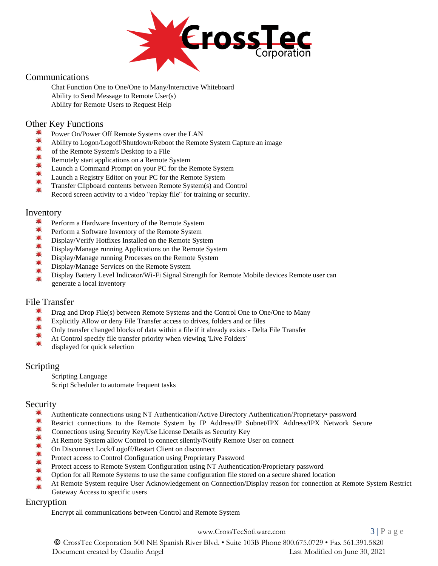

# Communications

Chat Function One to One/One to Many/lnteractive Whiteboard Ability to Send Message to Remote User(s) Ability for Remote Users to Request Help

# Other Key Functions<br>Ability to Logon/I

- Power On/Power Off Remote Systems over the LAN
- Ability to Logon/Logoff/Shutdown/Reboot the Remote System Capture an image
- 奉奉奉奉 of the Remote System's Desktop to a File
- Remotely start applications on a Remote System
- Launch a Command Prompt on your PC for the Remote System
- Launch a Registry Editor on your PC for the Remote System
- Transfer Clipboard contents between Remote System(s) and Control
- Record screen activity to a video "replay file" for training or security.

#### Inventory

- $\frac{1}{2}$ Perform a Hardware Inventory of the Remote System
- 業 Perform a Software Inventory of the Remote System
- $\frac{1}{2}$ Display/Verify Hotfixes Installed on the Remote System
- ₩ Display/Manage running Applications on the Remote System
- 兼業 Display/Manage running Processes on the Remote System
- Display/Manage Services on the Remote System  $\frac{1}{2}$
- Display Battery Level Indicator/Wi-Fi Signal Strength for Remote Mobile devices Remote user can generate a local inventory

# File Transfer

- 業 Drag and Drop File(s) between Remote Systems and the Control One to One/One to Many
- $\frac{1}{2}$ Explicitly Allow or deny File Transfer access to drives, folders and or files
- 黨 Only transfer changed blocks of data within a file if it already exists - Delta File Transfer
- At Control specify file transfer priority when viewing 'Live Folders'
- displayed for quick selection

#### Scripting

Scripting Language Script Scheduler to automate frequent tasks

#### Security

- 单 Authenticate connections using NT Authentication/Active Directory Authentication/Proprietary• password
- 単 Restrict connections to the Remote System by IP Address/IP Subnet/IPX Address/IPX Network Secure
- 業 Connections using Security Key/Use License Details as Security Key
- At Remote System allow Control to connect silently/Notify Remote User on connect
- 兼兼兼 On Disconnect Lock/Logoff/Restart Client on disconnect
- Protect access to Control Configuration using Proprietary Password
- Protect access to Remote System Configuration using NT Authentication/Proprietary password  $\blacksquare$
- Option for all Remote Systems to use the same configuration file stored on a secure shared location
- At Remote System require User Acknowledgement on Connection/Display reason for connection at Remote System Restrict Gateway Access to specific users

#### Encryption

Encrypt all communications between Control and Remote System

[www.CrossTecSoftware.com](http://www.crosstecsoftware.com/) 3 | P a g e

© CrossTec Corporation 500 NE Spanish River Blvd. • Suite 103B Phone 800.675.0729 • Fax 561.391.5820 Document created by Claudio Angel Last Modified on June 30, 2021